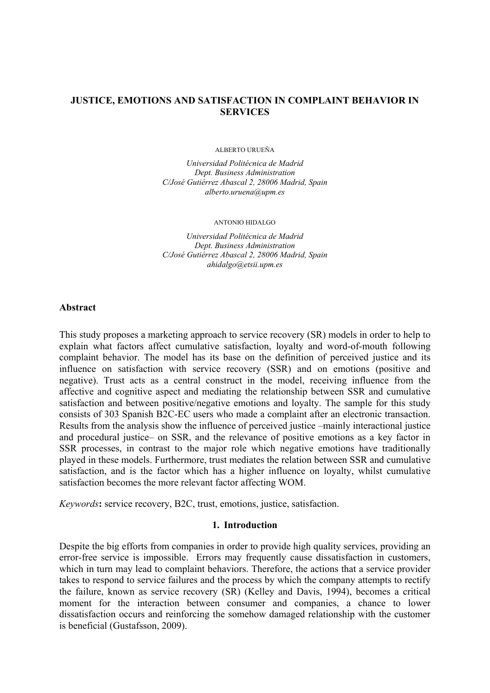## **JUSTICE, EMOTIONS AND SATISFACTION IN COMPLAINT BEHAVIOR IN SERVICES**

ALBERTO URUEÑA

*Universidad Politécnica de Madrid Dept. Business Administration C/José Gutiérrez Abascal 2, 28006 Madrid, Spain alberto.uruena@upm.es* 

#### ANTONIO HIDALGO

*Universidad Politécnica de Madrid Dept. Business Administration C/José Gutiérrez Abascal 2, 28006 Madrid, Spain ahidalgo@etsii.upm.es* 

#### **Abstract**

This study proposes a marketing approach to service recovery (SR) models in order to help to explain what factors affect cumulative satisfaction, loyalty and word-of-mouth following complaint behavior. The model has its base on the definition of perceived justice and its influence on satisfaction with service recovery (SSR) and on emotions (positive and negative). Trust acts as a central construct in the model, receiving influence from the affective and cognitive aspect and mediating the relationship between SSR and cumulative satisfaction and between positive/negative emotions and loyalty. The sample for this study consists of 303 Spanish B2C-EC users who made a complaint after an electronic transaction. Results from the analysis show the influence of perceived justice –mainly interactional justice and procedural justice– on SSR, and the relevance of positive emotions as a key factor in SSR processes, in contrast to the major role which negative emotions have traditionally played in these models. Furthermore, trust mediates the relation between SSR and cumulative satisfaction, and is the factor which has a higher influence on loyalty, whilst cumulative satisfaction becomes the more relevant factor affecting WOM.

*Keywords***:** service recovery, B2C, trust, emotions, justice, satisfaction.

#### **1. Introduction**

Despite the big efforts from companies in order to provide high quality services, providing an error-free service is impossible. Errors may frequently cause dissatisfaction in customers, which in turn may lead to complaint behaviors. Therefore, the actions that a service provider takes to respond to service failures and the process by which the company attempts to rectify the failure, known as service recovery (SR) (Kelley and Davis, 1994), becomes a critical moment for the interaction between consumer and companies, a chance to lower dissatisfaction occurs and reinforcing the somehow damaged relationship with the customer is beneficial (Gustafsson, 2009).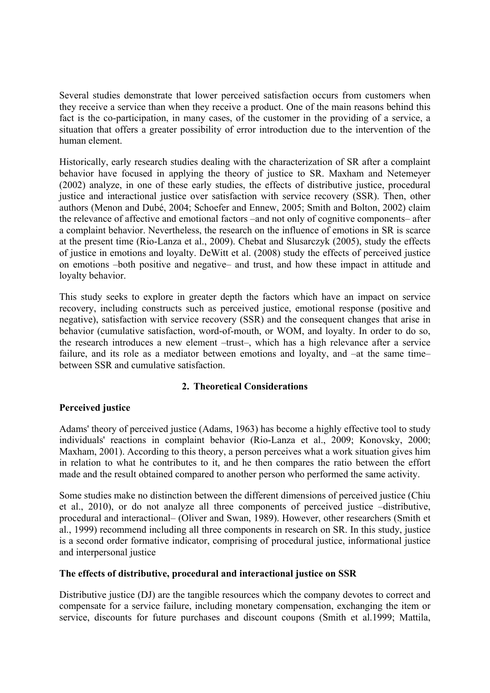Several studies demonstrate that lower perceived satisfaction occurs from customers when they receive a service than when they receive a product. One of the main reasons behind this fact is the co-participation, in many cases, of the customer in the providing of a service, a situation that offers a greater possibility of error introduction due to the intervention of the human element.

Historically, early research studies dealing with the characterization of SR after a complaint behavior have focused in applying the theory of justice to SR. Maxham and Netemeyer (2002) analyze, in one of these early studies, the effects of distributive justice, procedural justice and interactional justice over satisfaction with service recovery (SSR). Then, other authors (Menon and Dubé, 2004; Schoefer and Ennew, 2005; Smith and Bolton, 2002) claim the relevance of affective and emotional factors –and not only of cognitive components– after a complaint behavior. Nevertheless, the research on the influence of emotions in SR is scarce at the present time (Rio-Lanza et al., 2009). Chebat and Slusarczyk (2005), study the effects of justice in emotions and loyalty. DeWitt et al. (2008) study the effects of perceived justice on emotions –both positive and negative– and trust, and how these impact in attitude and loyalty behavior.

This study seeks to explore in greater depth the factors which have an impact on service recovery, including constructs such as perceived justice, emotional response (positive and negative), satisfaction with service recovery (SSR) and the consequent changes that arise in behavior (cumulative satisfaction, word-of-mouth, or WOM, and loyalty. In order to do so, the research introduces a new element –trust–, which has a high relevance after a service failure, and its role as a mediator between emotions and loyalty, and –at the same time– between SSR and cumulative satisfaction.

# **2. Theoretical Considerations**

# **Perceived justice**

Adams' theory of perceived justice (Adams, 1963) has become a highly effective tool to study individuals' reactions in complaint behavior (Rio-Lanza et al., 2009; Konovsky, 2000; Maxham, 2001). According to this theory, a person perceives what a work situation gives him in relation to what he contributes to it, and he then compares the ratio between the effort made and the result obtained compared to another person who performed the same activity.

Some studies make no distinction between the different dimensions of perceived justice (Chiu et al., 2010), or do not analyze all three components of perceived justice –distributive, procedural and interactional– (Oliver and Swan, 1989). However, other researchers (Smith et al., 1999) recommend including all three components in research on SR. In this study, justice is a second order formative indicator, comprising of procedural justice, informational justice and interpersonal justice

# **The effects of distributive, procedural and interactional justice on SSR**

Distributive justice (DJ) are the tangible resources which the company devotes to correct and compensate for a service failure, including monetary compensation, exchanging the item or service, discounts for future purchases and discount coupons (Smith et al.1999; Mattila,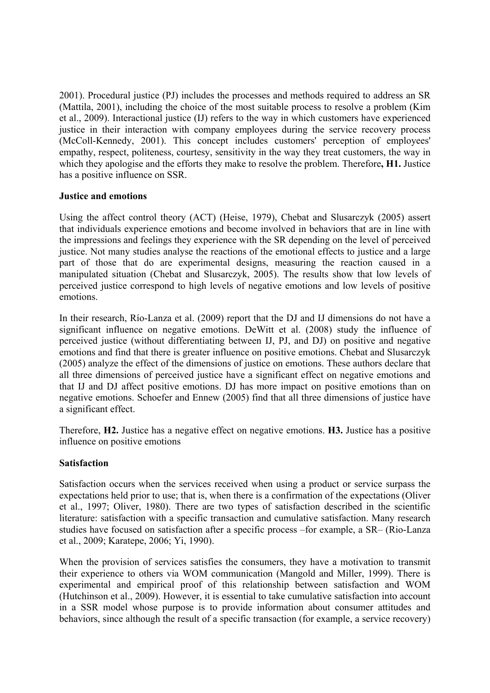2001). Procedural justice (PJ) includes the processes and methods required to address an SR (Mattila, 2001), including the choice of the most suitable process to resolve a problem (Kim et al., 2009). Interactional justice (IJ) refers to the way in which customers have experienced justice in their interaction with company employees during the service recovery process (McColl-Kennedy, 2001). This concept includes customers' perception of employees' empathy, respect, politeness, courtesy, sensitivity in the way they treat customers, the way in which they apologise and the efforts they make to resolve the problem. Therefore**, H1.** Justice has a positive influence on SSR.

## **Justice and emotions**

Using the affect control theory (ACT) (Heise, 1979), Chebat and Slusarczyk (2005) assert that individuals experience emotions and become involved in behaviors that are in line with the impressions and feelings they experience with the SR depending on the level of perceived justice. Not many studies analyse the reactions of the emotional effects to justice and a large part of those that do are experimental designs, measuring the reaction caused in a manipulated situation (Chebat and Slusarczyk, 2005). The results show that low levels of perceived justice correspond to high levels of negative emotions and low levels of positive emotions.

In their research, Río-Lanza et al. (2009) report that the DJ and IJ dimensions do not have a significant influence on negative emotions. DeWitt et al. (2008) study the influence of perceived justice (without differentiating between IJ, PJ, and DJ) on positive and negative emotions and find that there is greater influence on positive emotions. Chebat and Slusarczyk (2005) analyze the effect of the dimensions of justice on emotions. These authors declare that all three dimensions of perceived justice have a significant effect on negative emotions and that IJ and DJ affect positive emotions. DJ has more impact on positive emotions than on negative emotions. Schoefer and Ennew (2005) find that all three dimensions of justice have a significant effect.

Therefore, **H2.** Justice has a negative effect on negative emotions. **H3.** Justice has a positive influence on positive emotions

## **Satisfaction**

Satisfaction occurs when the services received when using a product or service surpass the expectations held prior to use; that is, when there is a confirmation of the expectations (Oliver et al., 1997; Oliver, 1980). There are two types of satisfaction described in the scientific literature: satisfaction with a specific transaction and cumulative satisfaction. Many research studies have focused on satisfaction after a specific process –for example, a SR– (Rio-Lanza et al., 2009; Karatepe, 2006; Yi, 1990).

When the provision of services satisfies the consumers, they have a motivation to transmit their experience to others via WOM communication (Mangold and Miller, 1999). There is experimental and empirical proof of this relationship between satisfaction and WOM (Hutchinson et al., 2009). However, it is essential to take cumulative satisfaction into account in a SSR model whose purpose is to provide information about consumer attitudes and behaviors, since although the result of a specific transaction (for example, a service recovery)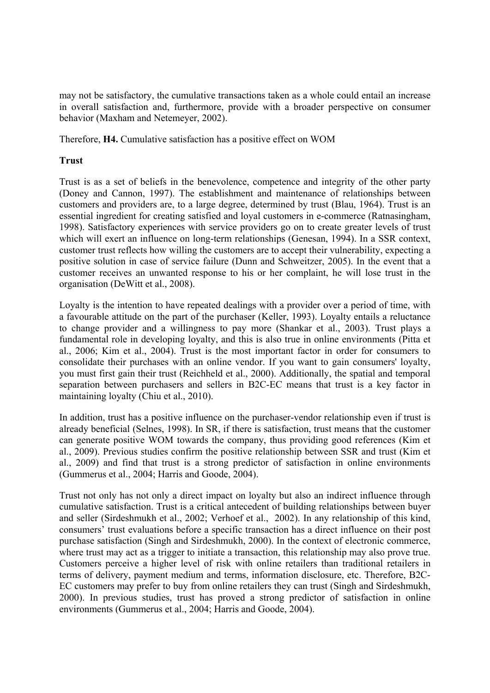may not be satisfactory, the cumulative transactions taken as a whole could entail an increase in overall satisfaction and, furthermore, provide with a broader perspective on consumer behavior (Maxham and Netemeyer, 2002).

Therefore, **H4.** Cumulative satisfaction has a positive effect on WOM

# **Trust**

Trust is as a set of beliefs in the benevolence, competence and integrity of the other party (Doney and Cannon, 1997). The establishment and maintenance of relationships between customers and providers are, to a large degree, determined by trust (Blau, 1964). Trust is an essential ingredient for creating satisfied and loyal customers in e-commerce (Ratnasingham, 1998). Satisfactory experiences with service providers go on to create greater levels of trust which will exert an influence on long-term relationships (Genesan, 1994). In a SSR context, customer trust reflects how willing the customers are to accept their vulnerability, expecting a positive solution in case of service failure (Dunn and Schweitzer, 2005). In the event that a customer receives an unwanted response to his or her complaint, he will lose trust in the organisation (DeWitt et al., 2008).

Loyalty is the intention to have repeated dealings with a provider over a period of time, with a favourable attitude on the part of the purchaser (Keller, 1993). Loyalty entails a reluctance to change provider and a willingness to pay more (Shankar et al., 2003). Trust plays a fundamental role in developing loyalty, and this is also true in online environments (Pitta et al., 2006; Kim et al., 2004). Trust is the most important factor in order for consumers to consolidate their purchases with an online vendor. If you want to gain consumers' loyalty, you must first gain their trust (Reichheld et al., 2000). Additionally, the spatial and temporal separation between purchasers and sellers in B2C-EC means that trust is a key factor in maintaining loyalty (Chiu et al., 2010).

In addition, trust has a positive influence on the purchaser-vendor relationship even if trust is already beneficial (Selnes, 1998). In SR, if there is satisfaction, trust means that the customer can generate positive WOM towards the company, thus providing good references (Kim et al., 2009). Previous studies confirm the positive relationship between SSR and trust (Kim et al., 2009) and find that trust is a strong predictor of satisfaction in online environments (Gummerus et al., 2004; Harris and Goode, 2004).

Trust not only has not only a direct impact on loyalty but also an indirect influence through cumulative satisfaction. Trust is a critical antecedent of building relationships between buyer and seller (Sirdeshmukh et al., 2002; Verhoef et al., 2002). In any relationship of this kind, consumers' trust evaluations before a specific transaction has a direct influence on their post purchase satisfaction (Singh and Sirdeshmukh, 2000). In the context of electronic commerce, where trust may act as a trigger to initiate a transaction, this relationship may also prove true. Customers perceive a higher level of risk with online retailers than traditional retailers in terms of delivery, payment medium and terms, information disclosure, etc. Therefore, B2C-EC customers may prefer to buy from online retailers they can trust (Singh and Sirdeshmukh, 2000). In previous studies, trust has proved a strong predictor of satisfaction in online environments (Gummerus et al., 2004; Harris and Goode, 2004).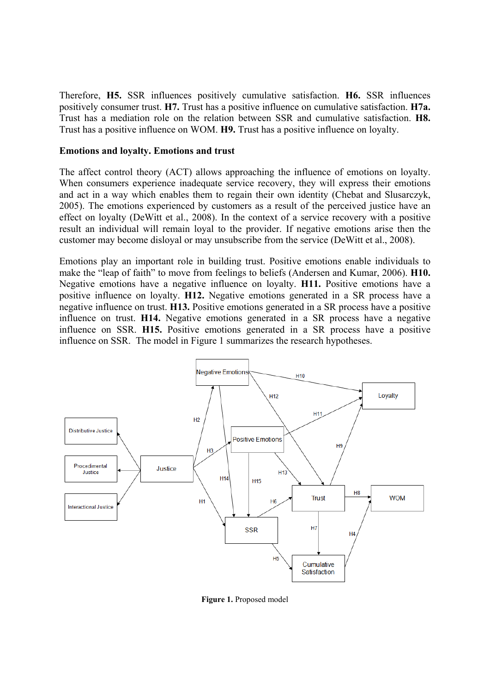Therefore, **H5.** SSR influences positively cumulative satisfaction. **H6.** SSR influences positively consumer trust. **H7.** Trust has a positive influence on cumulative satisfaction. **H7a.** Trust has a mediation role on the relation between SSR and cumulative satisfaction. **H8.** Trust has a positive influence on WOM. **H9.** Trust has a positive influence on loyalty.

#### **Emotions and loyalty. Emotions and trust**

The affect control theory (ACT) allows approaching the influence of emotions on loyalty. When consumers experience inadequate service recovery, they will express their emotions and act in a way which enables them to regain their own identity (Chebat and Slusarczyk, 2005). The emotions experienced by customers as a result of the perceived justice have an effect on loyalty (DeWitt et al., 2008). In the context of a service recovery with a positive result an individual will remain loyal to the provider. If negative emotions arise then the customer may become disloyal or may unsubscribe from the service (DeWitt et al., 2008).

Emotions play an important role in building trust. Positive emotions enable individuals to make the "leap of faith" to move from feelings to beliefs (Andersen and Kumar, 2006). **H10.** Negative emotions have a negative influence on loyalty. **H11.** Positive emotions have a positive influence on loyalty. **H12.** Negative emotions generated in a SR process have a negative influence on trust. **H13.** Positive emotions generated in a SR process have a positive influence on trust. **H14.** Negative emotions generated in a SR process have a negative influence on SSR. **H15.** Positive emotions generated in a SR process have a positive influence on SSR. The model in Figure 1 summarizes the research hypotheses.



**Figure 1.** Proposed model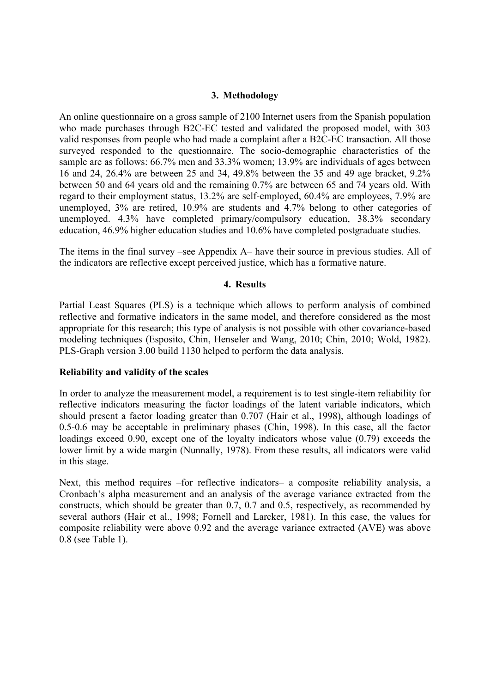#### **3. Methodology**

An online questionnaire on a gross sample of 2100 Internet users from the Spanish population who made purchases through B2C-EC tested and validated the proposed model, with 303 valid responses from people who had made a complaint after a B2C-EC transaction. All those surveyed responded to the questionnaire. The socio-demographic characteristics of the sample are as follows: 66.7% men and 33.3% women; 13.9% are individuals of ages between 16 and 24, 26.4% are between 25 and 34, 49.8% between the 35 and 49 age bracket, 9.2% between 50 and 64 years old and the remaining 0.7% are between 65 and 74 years old. With regard to their employment status, 13.2% are self-employed, 60.4% are employees, 7.9% are unemployed, 3% are retired, 10.9% are students and 4.7% belong to other categories of unemployed. 4.3% have completed primary/compulsory education, 38.3% secondary education, 46.9% higher education studies and 10.6% have completed postgraduate studies.

The items in the final survey –see Appendix A– have their source in previous studies. All of the indicators are reflective except perceived justice, which has a formative nature.

#### **4. Results**

Partial Least Squares (PLS) is a technique which allows to perform analysis of combined reflective and formative indicators in the same model, and therefore considered as the most appropriate for this research; this type of analysis is not possible with other covariance-based modeling techniques (Esposito, Chin, Henseler and Wang, 2010; Chin, 2010; Wold, 1982). PLS-Graph version 3.00 build 1130 helped to perform the data analysis.

## **Reliability and validity of the scales**

In order to analyze the measurement model, a requirement is to test single-item reliability for reflective indicators measuring the factor loadings of the latent variable indicators, which should present a factor loading greater than 0.707 (Hair et al., 1998), although loadings of 0.5-0.6 may be acceptable in preliminary phases (Chin, 1998). In this case, all the factor loadings exceed 0.90, except one of the loyalty indicators whose value (0.79) exceeds the lower limit by a wide margin (Nunnally, 1978). From these results, all indicators were valid in this stage.

Next, this method requires –for reflective indicators– a composite reliability analysis, a Cronbach's alpha measurement and an analysis of the average variance extracted from the constructs, which should be greater than 0.7, 0.7 and 0.5, respectively, as recommended by several authors (Hair et al., 1998; Fornell and Larcker, 1981). In this case, the values for composite reliability were above 0.92 and the average variance extracted (AVE) was above 0.8 (see Table 1).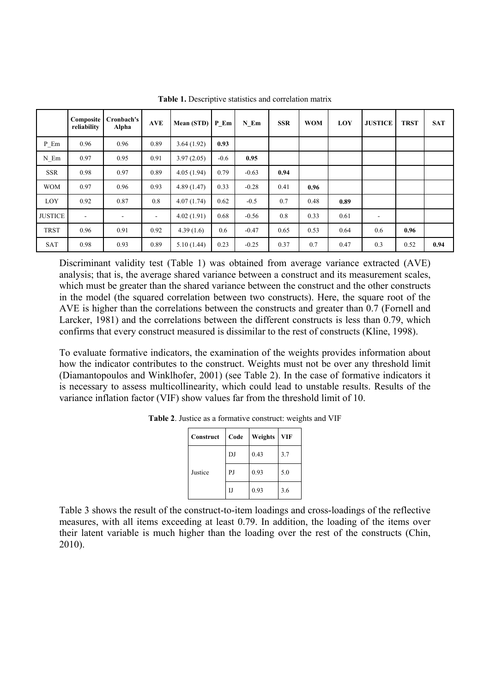|                | Composite<br>reliability | Cronbach's<br>Alpha | <b>AVE</b>               | Mean (STD) P Em |        | N Em    | <b>SSR</b> | <b>WOM</b> | LOY  | <b>JUSTICE</b>               | <b>TRST</b> | <b>SAT</b> |
|----------------|--------------------------|---------------------|--------------------------|-----------------|--------|---------|------------|------------|------|------------------------------|-------------|------------|
| P Em           | 0.96                     | 0.96                | 0.89                     | 3.64(1.92)      | 0.93   |         |            |            |      |                              |             |            |
| $N_Em$         | 0.97                     | 0.95                | 0.91                     | 3.97(2.05)      | $-0.6$ | 0.95    |            |            |      |                              |             |            |
| <b>SSR</b>     | 0.98                     | 0.97                | 0.89                     | 4.05(1.94)      | 0.79   | $-0.63$ | 0.94       |            |      |                              |             |            |
| <b>WOM</b>     | 0.97                     | 0.96                | 0.93                     | 4.89(1.47)      | 0.33   | $-0.28$ | 0.41       | 0.96       |      |                              |             |            |
| LOY            | 0.92                     | 0.87                | 0.8                      | 4.07(1.74)      | 0.62   | $-0.5$  | 0.7        | 0.48       | 0.89 |                              |             |            |
| <b>JUSTICE</b> | $\blacksquare$           |                     | $\overline{\phantom{a}}$ | 4.02(1.91)      | 0.68   | $-0.56$ | 0.8        | 0.33       | 0.61 | $\qquad \qquad \blacksquare$ |             |            |
| <b>TRST</b>    | 0.96                     | 0.91                | 0.92                     | 4.39(1.6)       | 0.6    | $-0.47$ | 0.65       | 0.53       | 0.64 | 0.6                          | 0.96        |            |
| <b>SAT</b>     | 0.98                     | 0.93                | 0.89                     | 5.10(1.44)      | 0.23   | $-0.25$ | 0.37       | 0.7        | 0.47 | 0.3                          | 0.52        | 0.94       |

Table 1. Descriptive statistics and correlation matrix

Discriminant validity test (Table 1) was obtained from average variance extracted (AVE) analysis; that is, the average shared variance between a construct and its measurement scales, which must be greater than the shared variance between the construct and the other constructs in the model (the squared correlation between two constructs). Here, the square root of the AVE is higher than the correlations between the constructs and greater than 0.7 (Fornell and Larcker, 1981) and the correlations between the different constructs is less than 0.79, which confirms that every construct measured is dissimilar to the rest of constructs (Kline, 1998).

To evaluate formative indicators, the examination of the weights provides information about how the indicator contributes to the construct. Weights must not be over any threshold limit (Diamantopoulos and Winklhofer, 2001) (see Table 2). In the case of formative indicators it is necessary to assess multicollinearity, which could lead to unstable results. Results of the variance inflation factor (VIF) show values far from the threshold limit of 10.

| Construct | Code | Weights | <b>VIF</b> |
|-----------|------|---------|------------|
|           | DJ   | 0.43    | 3.7        |
| Justice   | PJ   | 0.93    | 5.0        |
|           | IJ   | 0.93    | 3.6        |

**Table 2**. Justice as a formative construct: weights and VIF

Table 3 shows the result of the construct-to-item loadings and cross-loadings of the reflective measures, with all items exceeding at least 0.79. In addition, the loading of the items over their latent variable is much higher than the loading over the rest of the constructs (Chin, 2010).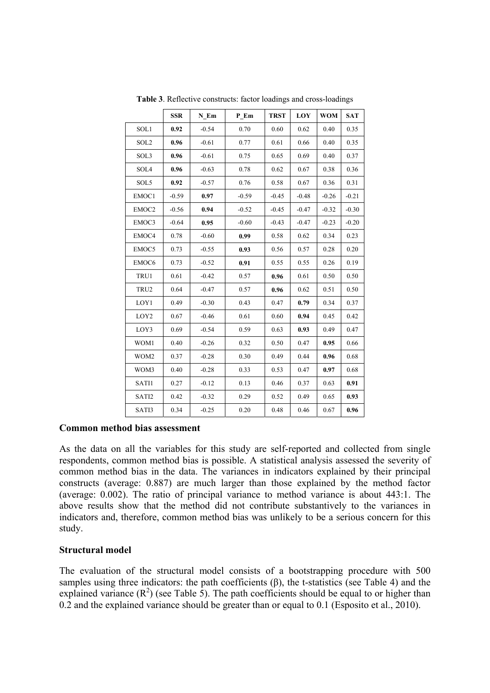|                  | <b>SSR</b> | N Em    | P Em    | <b>TRST</b> | LOY     | <b>WOM</b> | <b>SAT</b> |
|------------------|------------|---------|---------|-------------|---------|------------|------------|
| SOL1             | 0.92       | $-0.54$ | 0.70    | 0.60        | 0.62    | 0.40       | 0.35       |
| SOL <sub>2</sub> | 0.96       | $-0.61$ | 0.77    | 0.61        | 0.66    | 0.40       | 0.35       |
| SOL3             | 0.96       | $-0.61$ | 0.75    | 0.65        | 0.69    | 0.40       | 0.37       |
| SOL4             | 0.96       | $-0.63$ | 0.78    | 0.62        | 0.67    | 0.38       | 0.36       |
| SOL5             | 0.92       | $-0.57$ | 0.76    | 0.58        | 0.67    | 0.36       | 0.31       |
| EMOC1            | $-0.59$    | 0.97    | $-0.59$ | $-0.45$     | $-0.48$ | $-0.26$    | $-0.21$    |
| EMOC2            | $-0.56$    | 0.94    | $-0.52$ | $-0.45$     | $-0.47$ | $-0.32$    | $-0.30$    |
| EMOC3            | $-0.64$    | 0.95    | $-0.60$ | $-0.43$     | $-0.47$ | $-0.23$    | $-0.20$    |
| EMOC4            | 0.78       | $-0.60$ | 0.99    | 0.58        | 0.62    | 0.34       | 0.23       |
| EMOC5            | 0.73       | $-0.55$ | 0.93    | 0.56        | 0.57    | 0.28       | $0.20\,$   |
| EMOC6            | 0.73       | $-0.52$ | 0.91    | 0.55        | 0.55    | 0.26       | 0.19       |
| TRU1             | 0.61       | $-0.42$ | 0.57    | 0.96        | 0.61    | 0.50       | 0.50       |
| TRU2             | 0.64       | $-0.47$ | 0.57    | 0.96        | 0.62    | 0.51       | 0.50       |
| LOY1             | 0.49       | $-0.30$ | 0.43    | 0.47        | 0.79    | 0.34       | 0.37       |
| LOY2             | 0.67       | $-0.46$ | 0.61    | 0.60        | 0.94    | 0.45       | 0.42       |
| LOY3             | 0.69       | $-0.54$ | 0.59    | 0.63        | 0.93    | 0.49       | 0.47       |
| WOM1             | 0.40       | $-0.26$ | 0.32    | 0.50        | 0.47    | 0.95       | 0.66       |
| WOM2             | 0.37       | $-0.28$ | 0.30    | 0.49        | 0.44    | 0.96       | 0.68       |
| WOM3             | 0.40       | $-0.28$ | 0.33    | 0.53        | 0.47    | 0.97       | 0.68       |
| SATI1            | 0.27       | $-0.12$ | 0.13    | 0.46        | 0.37    | 0.63       | 0.91       |
| SATI2            | 0.42       | $-0.32$ | 0.29    | 0.52        | 0.49    | 0.65       | 0.93       |
| SATI3            | 0.34       | $-0.25$ | 0.20    | 0.48        | 0.46    | 0.67       | 0.96       |

**Table 3**. Reflective constructs: factor loadings and cross-loadings

## **Common method bias assessment**

As the data on all the variables for this study are self-reported and collected from single respondents, common method bias is possible. A statistical analysis assessed the severity of common method bias in the data. The variances in indicators explained by their principal constructs (average: 0.887) are much larger than those explained by the method factor (average: 0.002). The ratio of principal variance to method variance is about 443:1. The above results show that the method did not contribute substantively to the variances in indicators and, therefore, common method bias was unlikely to be a serious concern for this study.

#### **Structural model**

The evaluation of the structural model consists of a bootstrapping procedure with 500 samples using three indicators: the path coefficients (β), the t-statistics (see Table 4) and the explained variance  $(R^2)$  (see Table 5). The path coefficients should be equal to or higher than 0.2 and the explained variance should be greater than or equal to 0.1 (Esposito et al., 2010).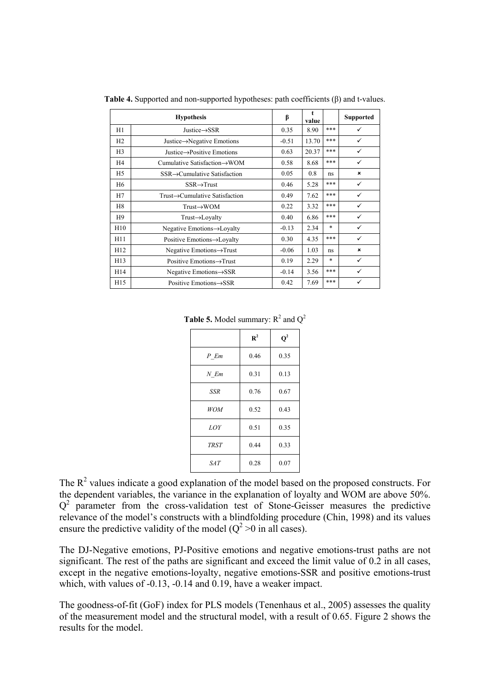|                 | <b>Hypothesis</b>                         | β       | value |        | <b>Supported</b>          |
|-----------------|-------------------------------------------|---------|-------|--------|---------------------------|
| H1              | Justice $\rightarrow$ SSR                 | 0.35    | 8.90  | ***    | ✓                         |
| H2              | Justice $\rightarrow$ Negative Emotions   | $-0.51$ | 13.70 | ***    | ✓                         |
| H <sub>3</sub>  | Justice $\rightarrow$ Positive Emotions   | 0.63    | 20.37 | ***    | ✓                         |
| H <sub>4</sub>  | Cumulative Satisfaction $\rightarrow$ WOM | 0.58    | 8.68  | ***    | ✓                         |
| H <sub>5</sub>  | $SSR \rightarrow$ Cumulative Satisfaction | 0.05    | 0.8   | ns     | $\boldsymbol{\mathsf{x}}$ |
| H6              | $SSR \rightarrow Trust$                   | 0.46    | 5.28  | ***    | ✓                         |
| H7              | Trust→Cumulative Satisfaction             | 0.49    | 7.62  | ***    | ✓                         |
| H <sub>8</sub>  | $Trust \rightarrow WOM$                   | 0.22    | 3.32  | ***    | ✓                         |
| H9              | $Trust \rightarrow Loyalty$               | 0.40    | 6.86  | ***    | ✓                         |
| H10             | Negative Emotions→Loyalty                 | $-0.13$ | 2.34  | $\ast$ | ✓                         |
| H11             | Positive Emotions→Loyalty                 | 0.30    | 4.35  | ***    | ✓                         |
| H12             | Negative Emotions $\rightarrow$ Trust     | $-0.06$ | 1.03  | ns     | $\boldsymbol{\mathsf{x}}$ |
| H13             | Positive Emotions→Trust                   | 0.19    | 2.29  | $\ast$ | ✓                         |
| H14             | Negative Emotions $\rightarrow$ SSR       | $-0.14$ | 3.56  | ***    | ✓                         |
| H <sub>15</sub> | Positive Emotions $\rightarrow$ SSR       | 0.42    | 7.69  | ***    | ✓                         |

**Table 4.** Supported and non-supported hypotheses: path coefficients (β) and t-values.

**Table 5.** Model summary:  $R^2$  and  $Q^2$ 

|             | $\mathbf{R}^2$ | $\mathbf{Q}^2$ |
|-------------|----------------|----------------|
| $P$ $Em$    | 0.46           | 0.35           |
| $N$ Em      | 0.31           | 0.13           |
| SSR         | 0.76           | 0.67           |
| <b>WOM</b>  | 0.52           | 0.43           |
| LOY         | 0.51           | 0.35           |
| <b>TRST</b> | 0.44           | 0.33           |
| SAT.        | 0.28           | 0.07           |

The  $R<sup>2</sup>$  values indicate a good explanation of the model based on the proposed constructs. For the dependent variables, the variance in the explanation of loyalty and WOM are above 50%.  $Q<sup>2</sup>$  parameter from the cross-validation test of Stone-Geisser measures the predictive relevance of the model's constructs with a blindfolding procedure (Chin, 1998) and its values ensure the predictive validity of the model ( $Q^2 > 0$  in all cases).

The DJ-Negative emotions, PJ-Positive emotions and negative emotions-trust paths are not significant. The rest of the paths are significant and exceed the limit value of 0.2 in all cases, except in the negative emotions-loyalty, negative emotions-SSR and positive emotions-trust which, with values of -0.13, -0.14 and 0.19, have a weaker impact.

The goodness-of-fit (GoF) index for PLS models (Tenenhaus et al., 2005) assesses the quality of the measurement model and the structural model, with a result of 0.65. Figure 2 shows the results for the model.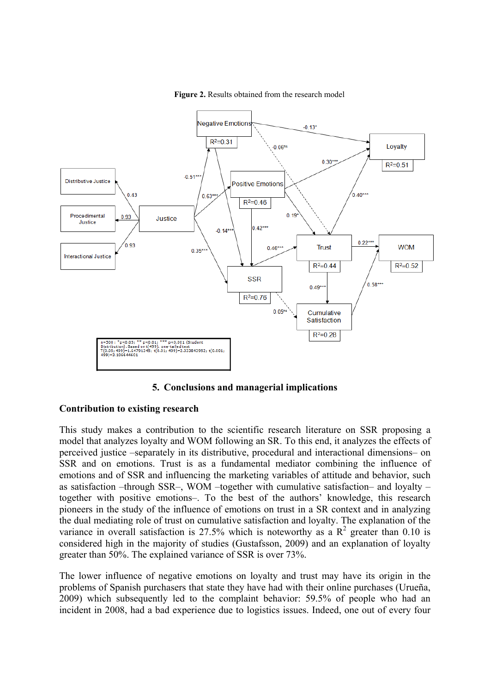

Figure 2. Results obtained from the research model

## **5. Conclusions and managerial implications**

#### **Contribution to existing research**

This study makes a contribution to the scientific research literature on SSR proposing a model that analyzes loyalty and WOM following an SR. To this end, it analyzes the effects of perceived justice –separately in its distributive, procedural and interactional dimensions– on SSR and on emotions. Trust is as a fundamental mediator combining the influence of emotions and of SSR and influencing the marketing variables of attitude and behavior, such as satisfaction –through SSR–, WOM –together with cumulative satisfaction– and loyalty – together with positive emotions–. To the best of the authors' knowledge, this research pioneers in the study of the influence of emotions on trust in a SR context and in analyzing the dual mediating role of trust on cumulative satisfaction and loyalty. The explanation of the variance in overall satisfaction is 27.5% which is noteworthy as a  $\mathbb{R}^2$  greater than 0.10 is considered high in the majority of studies (Gustafsson, 2009) and an explanation of loyalty greater than 50%. The explained variance of SSR is over 73%.

The lower influence of negative emotions on loyalty and trust may have its origin in the problems of Spanish purchasers that state they have had with their online purchases (Urueña, 2009) which subsequently led to the complaint behavior: 59.5% of people who had an incident in 2008, had a bad experience due to logistics issues. Indeed, one out of every four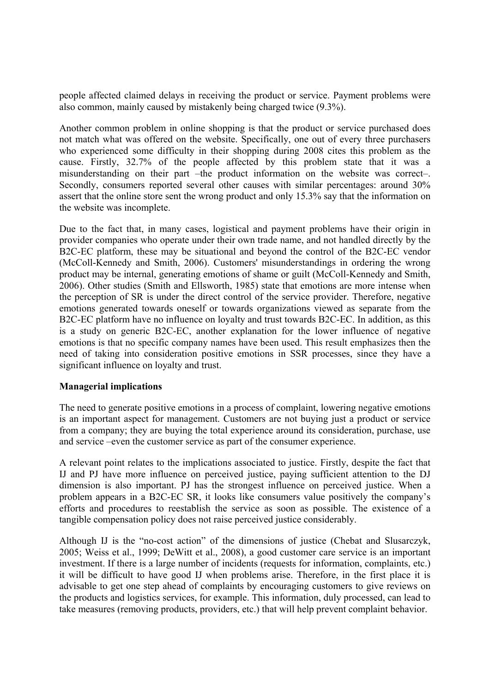people affected claimed delays in receiving the product or service. Payment problems were also common, mainly caused by mistakenly being charged twice (9.3%).

Another common problem in online shopping is that the product or service purchased does not match what was offered on the website. Specifically, one out of every three purchasers who experienced some difficulty in their shopping during 2008 cites this problem as the cause. Firstly, 32.7% of the people affected by this problem state that it was a misunderstanding on their part –the product information on the website was correct–. Secondly, consumers reported several other causes with similar percentages: around 30% assert that the online store sent the wrong product and only 15.3% say that the information on the website was incomplete.

Due to the fact that, in many cases, logistical and payment problems have their origin in provider companies who operate under their own trade name, and not handled directly by the B2C-EC platform, these may be situational and beyond the control of the B2C-EC vendor (McColl-Kennedy and Smith, 2006). Customers' misunderstandings in ordering the wrong product may be internal, generating emotions of shame or guilt (McColl-Kennedy and Smith, 2006). Other studies (Smith and Ellsworth, 1985) state that emotions are more intense when the perception of SR is under the direct control of the service provider. Therefore, negative emotions generated towards oneself or towards organizations viewed as separate from the B2C-EC platform have no influence on loyalty and trust towards B2C-EC. In addition, as this is a study on generic B2C-EC, another explanation for the lower influence of negative emotions is that no specific company names have been used. This result emphasizes then the need of taking into consideration positive emotions in SSR processes, since they have a significant influence on loyalty and trust.

## **Managerial implications**

The need to generate positive emotions in a process of complaint, lowering negative emotions is an important aspect for management. Customers are not buying just a product or service from a company; they are buying the total experience around its consideration, purchase, use and service –even the customer service as part of the consumer experience.

A relevant point relates to the implications associated to justice. Firstly, despite the fact that IJ and PJ have more influence on perceived justice, paying sufficient attention to the DJ dimension is also important. PJ has the strongest influence on perceived justice. When a problem appears in a B2C-EC SR, it looks like consumers value positively the company's efforts and procedures to reestablish the service as soon as possible. The existence of a tangible compensation policy does not raise perceived justice considerably.

Although IJ is the "no-cost action" of the dimensions of justice (Chebat and Slusarczyk, 2005; Weiss et al., 1999; DeWitt et al., 2008), a good customer care service is an important investment. If there is a large number of incidents (requests for information, complaints, etc.) it will be difficult to have good IJ when problems arise. Therefore, in the first place it is advisable to get one step ahead of complaints by encouraging customers to give reviews on the products and logistics services, for example. This information, duly processed, can lead to take measures (removing products, providers, etc.) that will help prevent complaint behavior.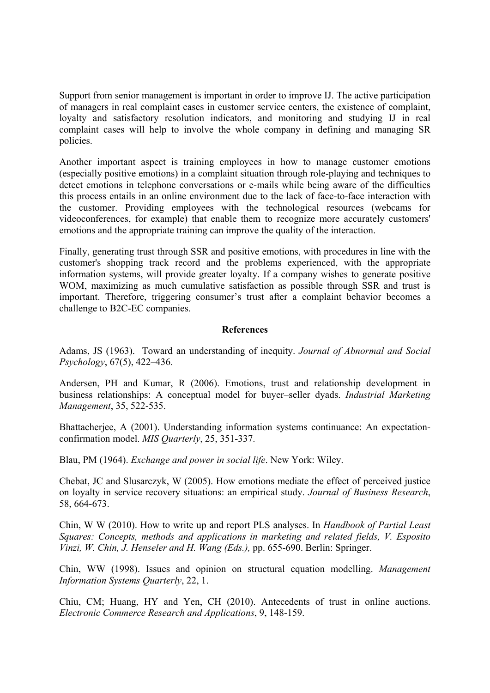Support from senior management is important in order to improve IJ. The active participation of managers in real complaint cases in customer service centers, the existence of complaint, loyalty and satisfactory resolution indicators, and monitoring and studying IJ in real complaint cases will help to involve the whole company in defining and managing SR policies.

Another important aspect is training employees in how to manage customer emotions (especially positive emotions) in a complaint situation through role-playing and techniques to detect emotions in telephone conversations or e-mails while being aware of the difficulties this process entails in an online environment due to the lack of face-to-face interaction with the customer. Providing employees with the technological resources (webcams for videoconferences, for example) that enable them to recognize more accurately customers' emotions and the appropriate training can improve the quality of the interaction.

Finally, generating trust through SSR and positive emotions, with procedures in line with the customer's shopping track record and the problems experienced, with the appropriate information systems, will provide greater loyalty. If a company wishes to generate positive WOM, maximizing as much cumulative satisfaction as possible through SSR and trust is important. Therefore, triggering consumer's trust after a complaint behavior becomes a challenge to B2C-EC companies.

## **References**

Adams, JS (1963). Toward an understanding of inequity. *Journal of Abnormal and Social Psychology*, 67(5), 422–436.

Andersen, PH and Kumar, R (2006). Emotions, trust and relationship development in business relationships: A conceptual model for buyer–seller dyads. *Industrial Marketing Management*, 35, 522-535.

Bhattacherjee, A (2001). Understanding information systems continuance: An expectationconfirmation model. *MIS Quarterly*, 25, 351-337.

Blau, PM (1964). *Exchange and power in social life*. New York: Wiley.

Chebat, JC and Slusarczyk, W (2005). How emotions mediate the effect of perceived justice on loyalty in service recovery situations: an empirical study. *Journal of Business Research*, 58, 664-673.

Chin, W W (2010). How to write up and report PLS analyses. In *Handbook of Partial Least Squares: Concepts, methods and applications in marketing and related fields, V. Esposito Vinzi, W. Chin, J. Henseler and H. Wang (Eds.),* pp. 655-690. Berlin: Springer.

Chin, WW (1998). Issues and opinion on structural equation modelling. *Management Information Systems Quarterly*, 22, 1.

Chiu, CM; Huang, HY and Yen, CH (2010). Antecedents of trust in online auctions. *Electronic Commerce Research and Applications*, 9, 148-159.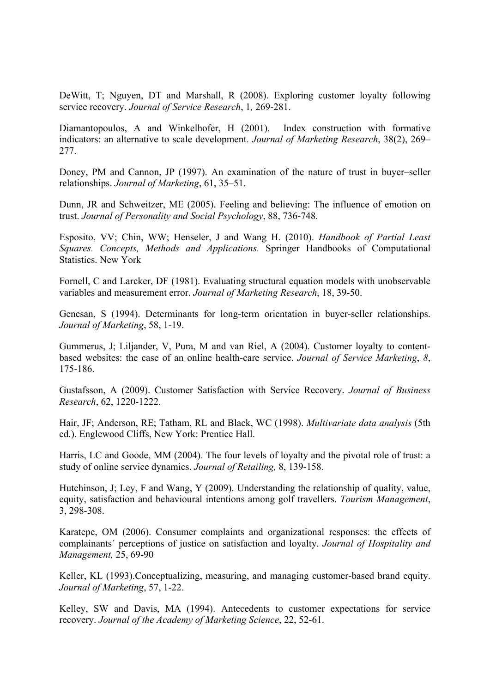DeWitt, T; Nguyen, DT and Marshall, R (2008). Exploring customer loyalty following service recovery. *Journal of Service Research*, 1*,* 269-281.

Diamantopoulos, A and Winkelhofer, H (2001). Index construction with formative indicators: an alternative to scale development. *Journal of Marketing Research*, 38(2), 269– 277.

Doney, PM and Cannon, JP (1997). An examination of the nature of trust in buyer–seller relationships. *Journal of Marketing*, 61, 35–51.

Dunn, JR and Schweitzer, ME (2005). Feeling and believing: The influence of emotion on trust. *Journal of Personality and Social Psychology*, 88, 736-748.

Esposito, VV; Chin, WW; Henseler, J and Wang H. (2010). *Handbook of Partial Least Squares. Concepts, Methods and Applications.* Springer Handbooks of Computational Statistics. New York

Fornell, C and Larcker, DF (1981). Evaluating structural equation models with unobservable variables and measurement error. *Journal of Marketing Research*, 18, 39-50.

Genesan, S (1994). Determinants for long-term orientation in buyer-seller relationships. *Journal of Marketing*, 58, 1-19.

Gummerus, J; Liljander, V, Pura, M and van Riel, A (2004). Customer loyalty to contentbased websites: the case of an online health-care service. *Journal of Service Marketing*, *8*, 175-186.

Gustafsson, A (2009). Customer Satisfaction with Service Recovery. *Journal of Business Research*, 62, 1220-1222.

Hair, JF; Anderson, RE; Tatham, RL and Black, WC (1998). *Multivariate data analysis* (5th ed.). Englewood Cliffs, New York: Prentice Hall.

Harris, LC and Goode, MM (2004). The four levels of loyalty and the pivotal role of trust: a study of online service dynamics. *Journal of Retailing,* 8, 139-158.

Hutchinson, J; Ley, F and Wang, Y (2009). Understanding the relationship of quality, value, equity, satisfaction and behavioural intentions among golf travellers. *Tourism Management*, 3, 298-308.

Karatepe, OM (2006). Consumer complaints and organizational responses: the effects of complainants´ perceptions of justice on satisfaction and loyalty. *Journal of Hospitality and Management,* 25, 69-90

Keller, KL (1993). Conceptualizing, measuring, and managing customer-based brand equity. *Journal of Marketing*, 57, 1-22.

Kelley, SW and Davis, MA (1994). Antecedents to customer expectations for service recovery. *Journal of the Academy of Marketing Science*, 22, 52-61.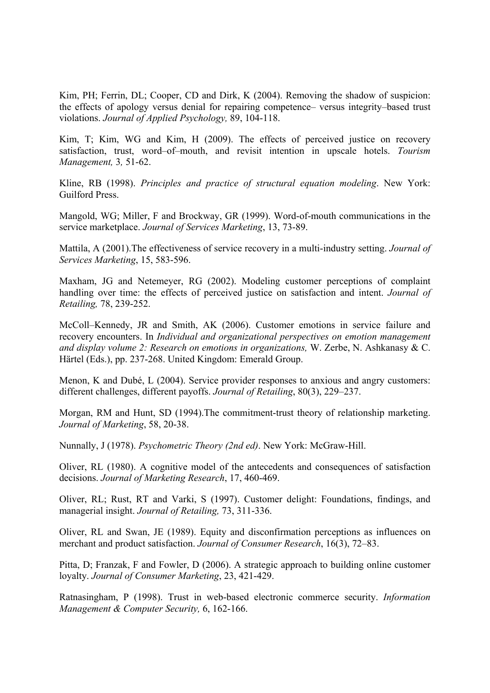Kim, PH; Ferrin, DL; Cooper, CD and Dirk, K (2004). Removing the shadow of suspicion: the effects of apology versus denial for repairing competence– versus integrity–based trust violations. *Journal of Applied Psychology,* 89, 104-118.

Kim, T; Kim, WG and Kim, H (2009). The effects of perceived justice on recovery satisfaction, trust, word–of–mouth, and revisit intention in upscale hotels. *Tourism Management,* 3*,* 51-62.

Kline, RB (1998). *Principles and practice of structural equation modeling*. New York: Guilford Press.

Mangold, WG; Miller, F and Brockway, GR (1999). Word-of-mouth communications in the service marketplace. *Journal of Services Marketing*, 13, 73-89.

Mattila, A (2001).The effectiveness of service recovery in a multi-industry setting. *Journal of Services Marketing*, 15, 583-596.

Maxham, JG and Netemeyer, RG (2002). Modeling customer perceptions of complaint handling over time: the effects of perceived justice on satisfaction and intent. *Journal of Retailing,* 78, 239-252.

McColl–Kennedy, JR and Smith, AK (2006). Customer emotions in service failure and recovery encounters. In *Individual and organizational perspectives on emotion management and display volume 2: Research on emotions in organizations,* W. Zerbe, N. Ashkanasy & C. Härtel (Eds.), pp. 237-268. United Kingdom: Emerald Group.

Menon, K and Dubé, L (2004). Service provider responses to anxious and angry customers: different challenges, different payoffs. *Journal of Retailing*, 80(3), 229–237.

Morgan, RM and Hunt, SD (1994).The commitment-trust theory of relationship marketing. *Journal of Marketing*, 58, 20-38.

Nunnally, J (1978). *Psychometric Theory (2nd ed)*. New York: McGraw-Hill.

Oliver, RL (1980). A cognitive model of the antecedents and consequences of satisfaction decisions. *Journal of Marketing Research*, 17, 460-469.

Oliver, RL; Rust, RT and Varki, S (1997). Customer delight: Foundations, findings, and managerial insight. *Journal of Retailing,* 73, 311-336.

Oliver, RL and Swan, JE (1989). Equity and disconfirmation perceptions as influences on merchant and product satisfaction. *Journal of Consumer Research*, 16(3), 72–83.

Pitta, D; Franzak, F and Fowler, D (2006). A strategic approach to building online customer loyalty. *Journal of Consumer Marketing*, 23, 421-429.

Ratnasingham, P (1998). Trust in web-based electronic commerce security. *Information Management & Computer Security,* 6, 162-166.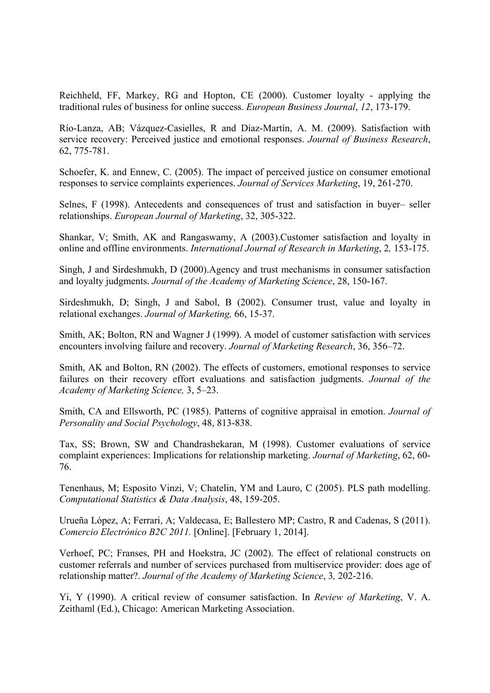Reichheld, FF, Markey, RG and Hopton, CE (2000). Customer loyalty - applying the traditional rules of business for online success. *European Business Journal*, *12*, 173-179.

Río-Lanza, AB; Vázquez-Casielles, R and Díaz-Martín, A. M. (2009). Satisfaction with service recovery: Perceived justice and emotional responses. *Journal of Business Research*, 62, 775-781.

Schoefer, K. and Ennew, C. (2005). The impact of perceived justice on consumer emotional responses to service complaints experiences. *Journal of Services Marketing*, 19, 261-270.

Selnes, F (1998). Antecedents and consequences of trust and satisfaction in buyer– seller relationships. *European Journal of Marketing*, 32, 305-322.

Shankar, V; Smith, AK and Rangaswamy, A (2003).Customer satisfaction and loyalty in online and offline environments. *International Journal of Research in Marketing*, 2*,* 153-175.

Singh, J and Sirdeshmukh, D (2000).Agency and trust mechanisms in consumer satisfaction and loyalty judgments. *Journal of the Academy of Marketing Science*, 28, 150-167.

Sirdeshmukh, D; Singh, J and Sabol, B (2002). Consumer trust, value and loyalty in relational exchanges. *Journal of Marketing,* 66, 15-37.

Smith, AK; Bolton, RN and Wagner J (1999). A model of customer satisfaction with services encounters involving failure and recovery. *Journal of Marketing Research*, 36, 356–72.

Smith, AK and Bolton, RN (2002). The effects of customers, emotional responses to service failures on their recovery effort evaluations and satisfaction judgments. *Journal of the Academy of Marketing Science,* 3, 5–23.

Smith, CA and Ellsworth, PC (1985). Patterns of cognitive appraisal in emotion. *Journal of Personality and Social Psychology*, 48, 813-838.

Tax, SS; Brown, SW and Chandrashekaran, M (1998). Customer evaluations of service complaint experiences: Implications for relationship marketing. *Journal of Marketing*, 62, 60- 76.

Tenenhaus, M; Esposito Vinzi, V; Chatelin, YM and Lauro, C (2005). PLS path modelling. *Computational Statistics & Data Analysis*, 48, 159-205.

Urueña López, A; Ferrari, A; Valdecasa, E; Ballestero MP; Castro, R and Cadenas, S (2011). *Comercio Electrónico B2C 2011.* [Online]. [February 1, 2014].

Verhoef, PC; Franses, PH and Hoekstra, JC (2002). The effect of relational constructs on customer referrals and number of services purchased from multiservice provider: does age of relationship matter?. *Journal of the Academy of Marketing Science*, 3*,* 202-216.

Yi, Y (1990). A critical review of consumer satisfaction. In *Review of Marketing*, V. A. Zeithaml (Ed.), Chicago: American Marketing Association.